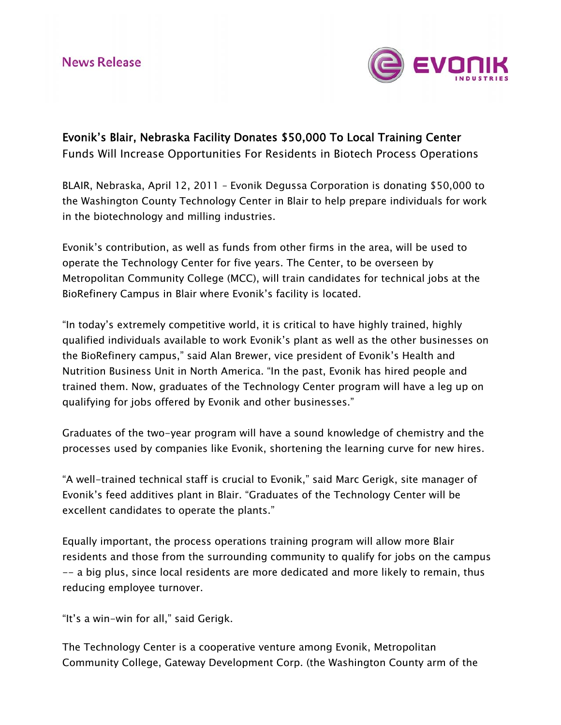

Evonik's Blair, Nebraska Facility Donates \$50,000 To Local Training Center Funds Will Increase Opportunities For Residents in Biotech Process Operations

BLAIR, Nebraska, April 12, 2011 – Evonik Degussa Corporation is donating \$50,000 to the Washington County Technology Center in Blair to help prepare individuals for work in the biotechnology and milling industries.

Evonik's contribution, as well as funds from other firms in the area, will be used to operate the Technology Center for five years. The Center, to be overseen by Metropolitan Community College (MCC), will train candidates for technical jobs at the BioRefinery Campus in Blair where Evonik's facility is located.

"In today's extremely competitive world, it is critical to have highly trained, highly qualified individuals available to work Evonik's plant as well as the other businesses on the BioRefinery campus," said Alan Brewer, vice president of Evonik's Health and Nutrition Business Unit in North America. "In the past, Evonik has hired people and trained them. Now, graduates of the Technology Center program will have a leg up on qualifying for jobs offered by Evonik and other businesses."

Graduates of the two-year program will have a sound knowledge of chemistry and the processes used by companies like Evonik, shortening the learning curve for new hires.

"A well-trained technical staff is crucial to Evonik," said Marc Gerigk, site manager of Evonik's feed additives plant in Blair. "Graduates of the Technology Center will be excellent candidates to operate the plants."

Equally important, the process operations training program will allow more Blair residents and those from the surrounding community to qualify for jobs on the campus -- a big plus, since local residents are more dedicated and more likely to remain, thus reducing employee turnover.

"It's a win-win for all," said Gerigk.

The Technology Center is a cooperative venture among Evonik, Metropolitan Community College, Gateway Development Corp. (the Washington County arm of the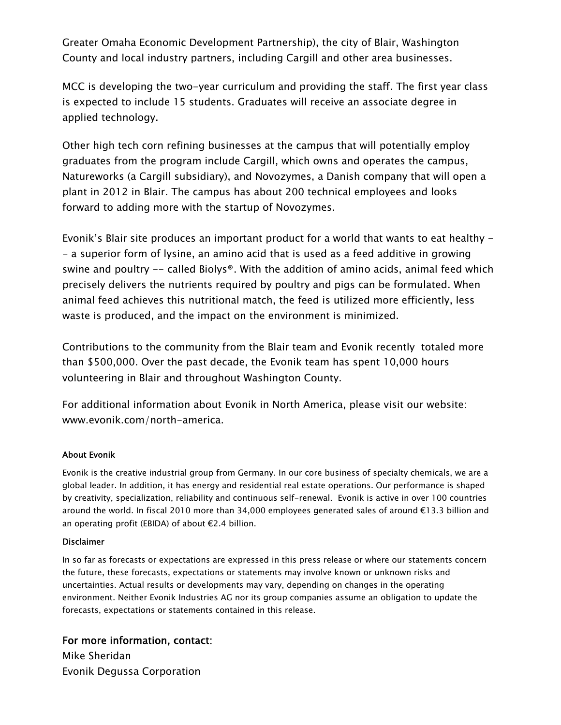Greater Omaha Economic Development Partnership), the city of Blair, Washington County and local industry partners, including Cargill and other area businesses.

MCC is developing the two-year curriculum and providing the staff. The first year class is expected to include 15 students. Graduates will receive an associate degree in applied technology.

Other high tech corn refining businesses at the campus that will potentially employ graduates from the program include Cargill, which owns and operates the campus, Natureworks (a Cargill subsidiary), and Novozymes, a Danish company that will open a plant in 2012 in Blair. The campus has about 200 technical employees and looks forward to adding more with the startup of Novozymes.

Evonik's Blair site produces an important product for a world that wants to eat healthy - - a superior form of lysine, an amino acid that is used as a feed additive in growing swine and poultry -- called Biolys®. With the addition of amino acids, animal feed which precisely delivers the nutrients required by poultry and pigs can be formulated. When animal feed achieves this nutritional match, the feed is utilized more efficiently, less waste is produced, and the impact on the environment is minimized.

Contributions to the community from the Blair team and Evonik recently totaled more than \$500,000. Over the past decade, the Evonik team has spent 10,000 hours volunteering in Blair and throughout Washington County.

For additional information about Evonik in North America, please visit our website: [www.evonik.com/north-america](http://www.evonik.com/north-america).

## About Evonik

Evonik is the creative industrial group from Germany. In our core business of specialty chemicals, we are a global leader. In addition, it has energy and residential real estate operations. Our performance is shaped by creativity, specialization, reliability and continuous self-renewal. Evonik is active in over 100 countries around the world. In fiscal 2010 more than 34,000 employees generated sales of around €13.3 billion and an operating profit (EBIDA) of about €2.4 billion.

## Disclaimer

In so far as forecasts or expectations are expressed in this press release or where our statements concern the future, these forecasts, expectations or statements may involve known or unknown risks and uncertainties. Actual results or developments may vary, depending on changes in the operating environment. Neither Evonik Industries AG nor its group companies assume an obligation to update the forecasts, expectations or statements contained in this release.

For more information, contact: Mike Sheridan Evonik Degussa Corporation